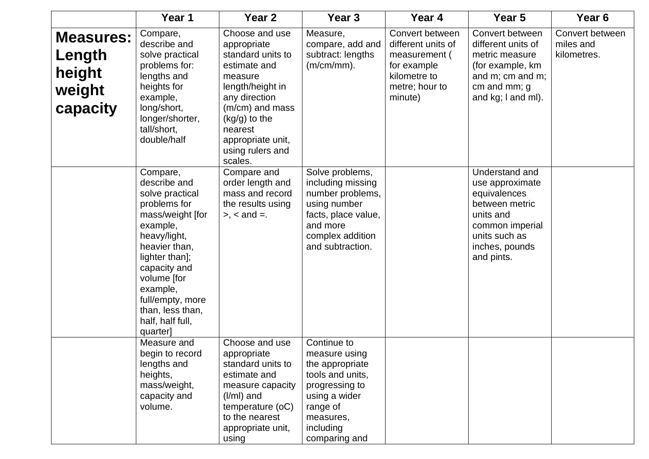|                                                            | Year 1                                                                                                                                                                                                                                                            | Year <sub>2</sub>                                                                                                                                                                                                     | Year <sub>3</sub>                                                                                                                                             | Year 4                                                                                                             | Year 5                                                                                                                                               | Year <sub>6</sub>                           |
|------------------------------------------------------------|-------------------------------------------------------------------------------------------------------------------------------------------------------------------------------------------------------------------------------------------------------------------|-----------------------------------------------------------------------------------------------------------------------------------------------------------------------------------------------------------------------|---------------------------------------------------------------------------------------------------------------------------------------------------------------|--------------------------------------------------------------------------------------------------------------------|------------------------------------------------------------------------------------------------------------------------------------------------------|---------------------------------------------|
| <b>Measures:</b><br>Length<br>height<br>weight<br>capacity | Compare,<br>describe and<br>solve practical<br>problems for:<br>lengths and<br>heights for<br>example,<br>long/short,<br>longer/shorter,<br>tall/short,<br>double/half                                                                                            | Choose and use<br>appropriate<br>standard units to<br>estimate and<br>measure<br>length/height in<br>any direction<br>(m/cm) and mass<br>(kg/g) to the<br>nearest<br>appropriate unit,<br>using rulers and<br>scales. | Measure,<br>compare, add and<br>subtract: lengths<br>$(m/cm/mm)$ .                                                                                            | Convert between<br>different units of<br>measurement (<br>for example<br>kilometre to<br>metre; hour to<br>minute) | Convert between<br>different units of<br>metric measure<br>(for example, km<br>and m; cm and m;<br>cm and mm; g<br>and kg; I and ml).                | Convert between<br>miles and<br>kilometres. |
|                                                            | Compare,<br>describe and<br>solve practical<br>problems for<br>mass/weight [for<br>example,<br>heavy/light,<br>heavier than,<br>lighter than];<br>capacity and<br>volume [for<br>example,<br>full/empty, more<br>than, less than,<br>half, half full,<br>quarter] | Compare and<br>order length and<br>mass and record<br>the results using<br>$> x <$ and $=$ .                                                                                                                          | Solve problems,<br>including missing<br>number problems,<br>using number<br>facts, place value,<br>and more<br>complex addition<br>and subtraction.           |                                                                                                                    | Understand and<br>use approximate<br>equivalences<br>between metric<br>units and<br>common imperial<br>units such as<br>inches, pounds<br>and pints. |                                             |
|                                                            | Measure and<br>begin to record<br>lengths and<br>heights,<br>mass/weight,<br>capacity and<br>volume.                                                                                                                                                              | Choose and use<br>appropriate<br>standard units to<br>estimate and<br>measure capacity<br>$(I/ml)$ and<br>temperature (oC)<br>to the nearest<br>appropriate unit,<br>using                                            | Continue to<br>measure using<br>the appropriate<br>tools and units,<br>progressing to<br>using a wider<br>range of<br>measures,<br>including<br>comparing and |                                                                                                                    |                                                                                                                                                      |                                             |